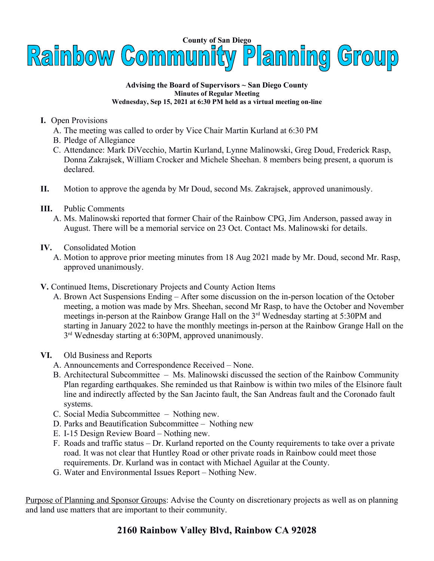

## **Advising the Board of Supervisors ~ San Diego County Minutes of Regular Meeting Wednesday, Sep 15, 2021 at 6:30 PM held as a virtual meeting on-line**

- **I.** Open Provisions
	- A. The meeting was called to order by Vice Chair Martin Kurland at 6:30 PM
	- B. Pledge of Allegiance
	- C. Attendance: Mark DiVecchio, Martin Kurland, Lynne Malinowski, Greg Doud, Frederick Rasp, Donna Zakrajsek, William Crocker and Michele Sheehan. 8 members being present, a quorum is declared.
- **II.** Motion to approve the agenda by Mr Doud, second Ms. Zakrajsek, approved unanimously.
- **III.** Public Comments
	- A. Ms. Malinowski reported that former Chair of the Rainbow CPG, Jim Anderson, passed away in August. There will be a memorial service on 23 Oct. Contact Ms. Malinowski for details.
- **IV.** Consolidated Motion
	- A. Motion to approve prior meeting minutes from 18 Aug 2021 made by Mr. Doud, second Mr. Rasp, approved unanimously.
- **V.** Continued Items, Discretionary Projects and County Action Items
	- A. Brown Act Suspensions Ending After some discussion on the in-person location of the October meeting, a motion was made by Mrs. Sheehan, second Mr Rasp, to have the October and November meetings in-person at the Rainbow Grange Hall on the 3<sup>rd</sup> Wednesday starting at 5:30PM and starting in January 2022 to have the monthly meetings in-person at the Rainbow Grange Hall on the 3<sup>rd</sup> Wednesday starting at 6:30PM, approved unanimously.
- **VI.** Old Business and Reports
	- A. Announcements and Correspondence Received None.
	- B. Architectural Subcommittee Ms. Malinowski discussed the section of the Rainbow Community Plan regarding earthquakes. She reminded us that Rainbow is within two miles of the Elsinore fault line and indirectly affected by the San Jacinto fault, the San Andreas fault and the Coronado fault systems.
	- C. Social Media Subcommittee Nothing new.
	- D. Parks and Beautification Subcommittee Nothing new
	- E. I-15 Design Review Board Nothing new.
	- F. Roads and traffic status Dr. Kurland reported on the County requirements to take over a private road. It was not clear that Huntley Road or other private roads in Rainbow could meet those requirements. Dr. Kurland was in contact with Michael Aguilar at the County.
	- G. Water and Environmental Issues Report Nothing New.

Purpose of Planning and Sponsor Groups: Advise the County on discretionary projects as well as on planning and land use matters that are important to their community.

## **2160 Rainbow Valley Blvd, Rainbow CA 92028**